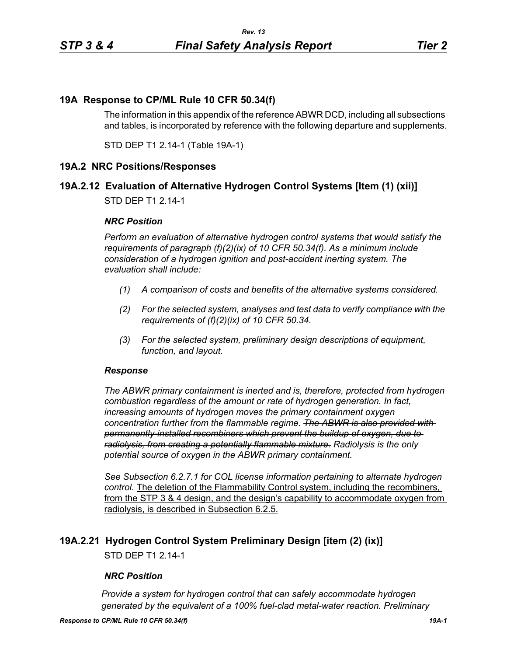## **19A Response to CP/ML Rule 10 CFR 50.34(f)**

The information in this appendix of the reference ABWR DCD, including all subsections and tables, is incorporated by reference with the following departure and supplements.

STD DEP T1 2.14-1 (Table 19A-1)

### **19A.2 NRC Positions/Responses**

### **19A.2.12 Evaluation of Alternative Hydrogen Control Systems [Item (1) (xii)]**

STD DEP T1 2.14-1

#### *NRC Position*

*Perform an evaluation of alternative hydrogen control systems that would satisfy the requirements of paragraph (f)(2)(ix) of 10 CFR 50.34(f). As a minimum include consideration of a hydrogen ignition and post-accident inerting system. The evaluation shall include:*

- *(1) A comparison of costs and benefits of the alternative systems considered.*
- *(2) For the selected system, analyses and test data to verify compliance with the requirements of (f)(2)(ix) of 10 CFR 50.34.*
- *(3) For the selected system, preliminary design descriptions of equipment, function, and layout.*

#### *Response*

*The ABWR primary containment is inerted and is, therefore, protected from hydrogen combustion regardless of the amount or rate of hydrogen generation. In fact, increasing amounts of hydrogen moves the primary containment oxygen concentration further from the flammable regime. The ABWR is also provided with permanently-installed recombiners which prevent the buildup of oxygen, due to radiolysis, from creating a potentially flammable mixture. Radiolysis is the only potential source of oxygen in the ABWR primary containment.*

*See Subsection 6.2.7.1 for COL license information pertaining to alternate hydrogen control.* The deletion of the Flammability Control system, including the recombiners, from the STP 3 & 4 design, and the design's capability to accommodate oxygen from radiolysis, is described in Subsection 6.2.5.

### **19A.2.21 Hydrogen Control System Preliminary Design [item (2) (ix)]**

STD DEP T1 2.14-1

#### *NRC Position*

*Provide a system for hydrogen control that can safely accommodate hydrogen generated by the equivalent of a 100% fuel-clad metal-water reaction. Preliminary*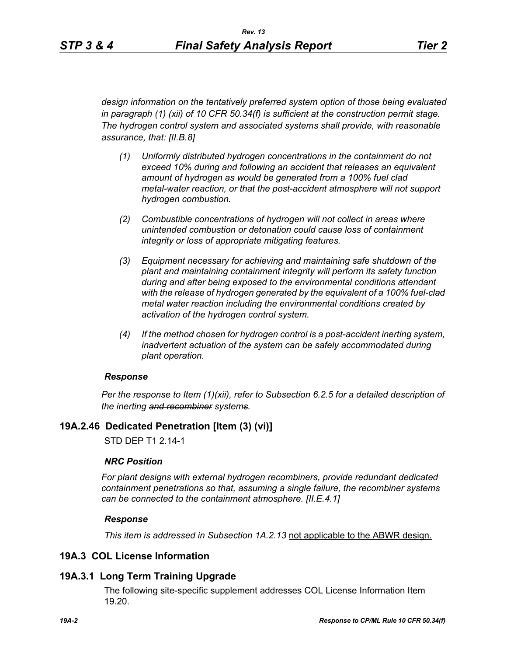*design information on the tentatively preferred system option of those being evaluated in paragraph (1) (xii) of 10 CFR 50.34(f) is sufficient at the construction permit stage. The hydrogen control system and associated systems shall provide, with reasonable assurance, that: [II.B.8]*

- *(1) Uniformly distributed hydrogen concentrations in the containment do not exceed 10% during and following an accident that releases an equivalent amount of hydrogen as would be generated from a 100% fuel clad metal-water reaction, or that the post-accident atmosphere will not support hydrogen combustion.*
- *(2) Combustible concentrations of hydrogen will not collect in areas where unintended combustion or detonation could cause loss of containment integrity or loss of appropriate mitigating features.*
- *(3) Equipment necessary for achieving and maintaining safe shutdown of the plant and maintaining containment integrity will perform its safety function during and after being exposed to the environmental conditions attendant with the release of hydrogen generated by the equivalent of a 100% fuel-clad metal water reaction including the environmental conditions created by activation of the hydrogen control system.*
- *(4) If the method chosen for hydrogen control is a post-accident inerting system, inadvertent actuation of the system can be safely accommodated during plant operation.*

### *Response*

*Per the response to Item (1)(xii), refer to Subsection 6.2.5 for a detailed description of the inerting and recombiner systems.*

# **19A.2.46 Dedicated Penetration [Item (3) (vi)]**

STD DEP T1 2.14-1

# *NRC Position*

*For plant designs with external hydrogen recombiners, provide redundant dedicated containment penetrations so that, assuming a single failure, the recombiner systems can be connected to the containment atmosphere. [II.E.4.1]*

# *Response*

*This item is addressed in Subsection 1A.2.13* not applicable to the ABWR design.

# **19A.3 COL License Information**

# **19A.3.1 Long Term Training Upgrade**

The following site-specific supplement addresses COL License Information Item 19.20.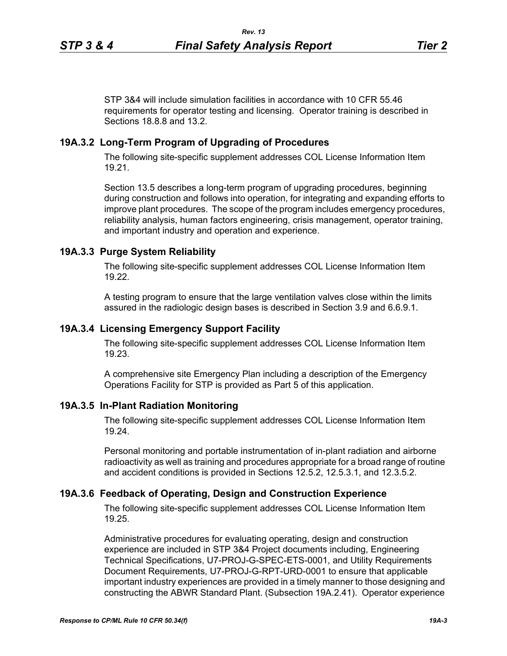STP 3&4 will include simulation facilities in accordance with 10 CFR 55.46 requirements for operator testing and licensing. Operator training is described in Sections 18.8.8 and 13.2.

### **19A.3.2 Long-Term Program of Upgrading of Procedures**

The following site-specific supplement addresses COL License Information Item 19.21.

Section 13.5 describes a long-term program of upgrading procedures, beginning during construction and follows into operation, for integrating and expanding efforts to improve plant procedures. The scope of the program includes emergency procedures, reliability analysis, human factors engineering, crisis management, operator training, and important industry and operation and experience.

### **19A.3.3 Purge System Reliability**

The following site-specific supplement addresses COL License Information Item 19.22.

A testing program to ensure that the large ventilation valves close within the limits assured in the radiologic design bases is described in Section 3.9 and 6.6.9.1.

### **19A.3.4 Licensing Emergency Support Facility**

The following site-specific supplement addresses COL License Information Item 19.23.

A comprehensive site Emergency Plan including a description of the Emergency Operations Facility for STP is provided as Part 5 of this application.

### **19A.3.5 In-Plant Radiation Monitoring**

The following site-specific supplement addresses COL License Information Item 19.24.

Personal monitoring and portable instrumentation of in-plant radiation and airborne radioactivity as well as training and procedures appropriate for a broad range of routine and accident conditions is provided in Sections 12.5.2, 12.5.3.1, and 12.3.5.2.

### **19A.3.6 Feedback of Operating, Design and Construction Experience**

The following site-specific supplement addresses COL License Information Item 19.25.

Administrative procedures for evaluating operating, design and construction experience are included in STP 3&4 Project documents including, Engineering Technical Specifications, U7-PROJ-G-SPEC-ETS-0001, and Utility Requirements Document Requirements, U7-PROJ-G-RPT-URD-0001 to ensure that applicable important industry experiences are provided in a timely manner to those designing and constructing the ABWR Standard Plant. (Subsection 19A.2.41). Operator experience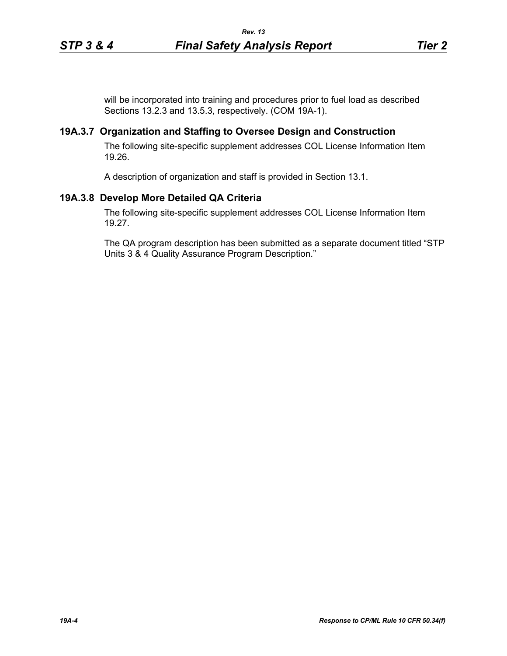will be incorporated into training and procedures prior to fuel load as described Sections 13.2.3 and 13.5.3, respectively. (COM 19A-1).

### **19A.3.7 Organization and Staffing to Oversee Design and Construction**

The following site-specific supplement addresses COL License Information Item 19.26.

A description of organization and staff is provided in Section 13.1.

### **19A.3.8 Develop More Detailed QA Criteria**

The following site-specific supplement addresses COL License Information Item 19.27.

The QA program description has been submitted as a separate document titled "STP Units 3 & 4 Quality Assurance Program Description."